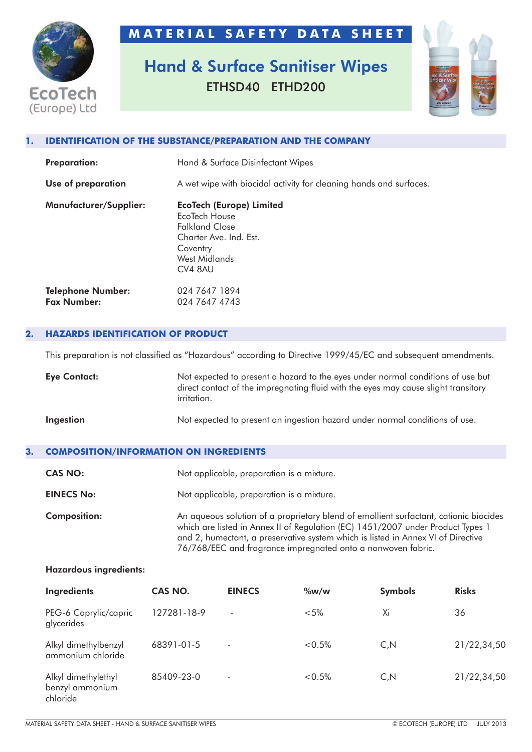

## **M A T E R I A L S A F E T Y D A T A S H E E T**

# **Hand & Surface Sanitiser Wipes** ETHSD40 ETHD200



#### **1. IDENTIFICATION OF THE SUBSTANCE/PREPARATION AND THE COMPANY**

| <b>Preparation:</b>                            | Hand & Surface Disinfectant Wipes                                                                                                           |  |  |
|------------------------------------------------|---------------------------------------------------------------------------------------------------------------------------------------------|--|--|
| Use of preparation                             | A wet wipe with biocidal activity for cleaning hands and surfaces.                                                                          |  |  |
| Manufacturer/Supplier:                         | <b>EcoTech (Europe) Limited</b><br>EcoTech House<br><b>Falkland Close</b><br>Charter Ave. Ind. Est.<br>Coventry<br>West Midlands<br>CV4 8AU |  |  |
| <b>Telephone Number:</b><br><b>Fax Number:</b> | 024 7647 1894<br>024 7647 4743                                                                                                              |  |  |

#### **2. HAZARDS IDENTIFICATION OF PRODUCT**

This preparation is not classified as "Hazardous" according to Directive 1999/45/EC and subsequent amendments.

| <b>Eye Contact:</b> | Not expected to present a hazard to the eyes under normal conditions of use but<br>direct contact of the impregnating fluid with the eyes may cause slight transitory<br><i>irritation.</i> |  |
|---------------------|---------------------------------------------------------------------------------------------------------------------------------------------------------------------------------------------|--|
| Ingestion           | Not expected to present an ingestion hazard under normal conditions of use.                                                                                                                 |  |

### **3. COMPOSITION/INFORMATION ON INGREDIENTS**

| <b>CAS NO:</b>      | Not applicable, preparation is a mixture.                                                                                                                                                                                                                                                                                    |  |
|---------------------|------------------------------------------------------------------------------------------------------------------------------------------------------------------------------------------------------------------------------------------------------------------------------------------------------------------------------|--|
| <b>EINECS No:</b>   | Not applicable, preparation is a mixture.                                                                                                                                                                                                                                                                                    |  |
| <b>Composition:</b> | An aqueous solution of a proprietary blend of emollient surfactant, cationic biocides<br>which are listed in Annex II of Regulation (EC) 1451/2007 under Product Types 1<br>and 2, humectant, a preservative system which is listed in Annex VI of Directive<br>76/768/EEC and fragrance impregnated onto a nonwoven fabric. |  |

#### **Hazardous ingredients:**

| Ingredients                                        | CAS NO.     | <b>EINECS</b>            | $\%w/w$  | <b>Symbols</b> | <b>Risks</b> |
|----------------------------------------------------|-------------|--------------------------|----------|----------------|--------------|
| PEG-6 Caprylic/capric<br>glycerides                | 127281-18-9 | $\overline{\phantom{0}}$ | $< 5\%$  | Xi             | 36           |
| Alkyl dimethylbenzyl<br>ammonium chloride          | 68391-01-5  |                          | $<0.5\%$ | C, N           | 21/22,34,50  |
| Alkyl dimethylethyl<br>benzyl ammonium<br>chloride | 85409-23-0  |                          | $<0.5\%$ | C, N           | 21/22,34,50  |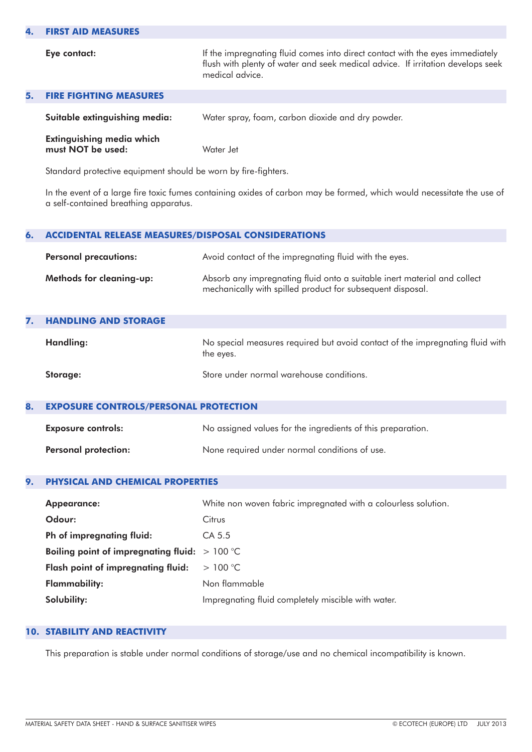#### **4. FIRST AID MEASURES**

**Eye contact:** If the impregnating fluid comes into direct contact with the eyes immediately flush with plenty of water and seek medical advice. If irritation develops seek medical advice.

| <b>5. FIRE FIGHTING MEASURES</b>                      |                                                   |
|-------------------------------------------------------|---------------------------------------------------|
| Suitable extinguishing media:                         | Water spray, foam, carbon dioxide and dry powder. |
| <b>Extinguishing media which</b><br>must NOT be used: | Water Jet                                         |

Standard protective equipment should be worn by fire-fighters.

In the event of a large fire toxic fumes containing oxides of carbon may be formed, which would necessitate the use of a self-contained breathing apparatus.

| 6.                                                                                     | <b>ACCIDENTAL RELEASE MEASURES/DISPOSAL CONSIDERATIONS</b> |                                                                                                                                        |  |
|----------------------------------------------------------------------------------------|------------------------------------------------------------|----------------------------------------------------------------------------------------------------------------------------------------|--|
| Avoid contact of the impregnating fluid with the eyes.<br><b>Personal precautions:</b> |                                                            |                                                                                                                                        |  |
|                                                                                        | Methods for cleaning-up:                                   | Absorb any impregnating fluid onto a suitable inert material and collect<br>mechanically with spilled product for subsequent disposal. |  |
| 7.                                                                                     | <b>HANDLING AND STORAGE</b>                                |                                                                                                                                        |  |
|                                                                                        | Handling:                                                  | No special measures required but avoid contact of the impregnating fluid with<br>the eves.                                             |  |

| Storage: | Store under normal warehouse conditions. |
|----------|------------------------------------------|

#### **8. EXPOSURE CONTROLS/PERSONAL PROTECTION**

| <b>Exposure controls:</b>   | No assigned values for the ingredients of this preparation. |  |
|-----------------------------|-------------------------------------------------------------|--|
| <b>Personal protection:</b> | None required under normal conditions of use.               |  |

#### **9. PHYSICAL AND CHEMICAL PROPERTIES**

| <b>Appearance:</b>                              | White non woven fabric impregnated with a colourless solution. |
|-------------------------------------------------|----------------------------------------------------------------|
| Odour:                                          | Citrus                                                         |
| Ph of impregnating fluid:                       | CA 5.5                                                         |
| Boiling point of impregnating fluid: $> 100$ °C |                                                                |
| Flash point of impregnating fluid:              | >100 °C                                                        |
| <b>Flammability:</b>                            | Non flammable                                                  |
| Solubility:                                     | Impregnating fluid completely miscible with water.             |

#### **10. STABILITY AND REACTIVITY**

This preparation is stable under normal conditions of storage/use and no chemical incompatibility is known.